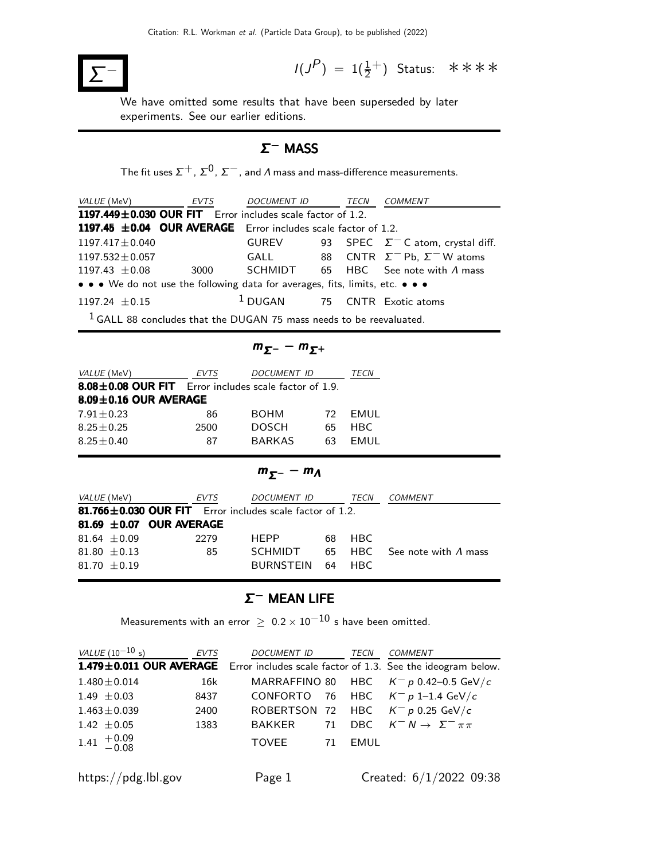

 $(P) = 1(\frac{1}{2}^+)$  Status: \*\*\*\*

We have omitted some results that have been superseded by later experiments. See our earlier editions.

### Σ <sup>−</sup> MASS

The fit uses  $\Sigma^+,$   $\Sigma^0$ ,  $\Sigma^-$  , and  $\varLambda$  mass and mass-difference measurements.

| VALUE (MeV) EVTS                                                              |            | DOCUMENT ID TECN |  |  | <i>COMMENT</i>                                |  |  |  |
|-------------------------------------------------------------------------------|------------|------------------|--|--|-----------------------------------------------|--|--|--|
| 1197.449±0.030 OUR FIT Error includes scale factor of 1.2.                    |            |                  |  |  |                                               |  |  |  |
| 1197.45 $\pm$ 0.04 OUR AVERAGE Error includes scale factor of 1.2.            |            |                  |  |  |                                               |  |  |  |
| $1197.417 \pm 0.040$                                                          |            | GUREV            |  |  | 93 SPEC $\Sigma^-$ C atom, crystal diff.      |  |  |  |
| $1197.532 \pm 0.057$                                                          |            | GALL             |  |  | 88 CNTR $\Sigma^-$ Pb, $\Sigma^-$ W atoms     |  |  |  |
| $1197.43 \pm 0.08$                                                            | 3000 — 100 |                  |  |  | $SCHMIDT$ 65 HBC See note with $\Lambda$ mass |  |  |  |
| • • • We do not use the following data for averages, fits, limits, etc. • • • |            |                  |  |  |                                               |  |  |  |
| $1197.24 \pm 0.15$                                                            |            |                  |  |  | <sup>1</sup> DUGAN 75 CNTR Exotic atoms       |  |  |  |
| $1$ GALL 88 concludes that the DUGAN 75 mass needs to be reevaluated.         |            |                  |  |  |                                               |  |  |  |

$$
m_{\Sigma^-}-m_{\Sigma^+}
$$

| VALUE (MeV)                                           | <b>EVTS</b>                 | TECN          |     |      |  |  |  |  |  |
|-------------------------------------------------------|-----------------------------|---------------|-----|------|--|--|--|--|--|
| 8.08±0.08 OUR FIT Error includes scale factor of 1.9. |                             |               |     |      |  |  |  |  |  |
|                                                       | $8.09 \pm 0.16$ OUR AVERAGE |               |     |      |  |  |  |  |  |
| $7.91 + 0.23$                                         | 86                          | <b>BOHM</b>   | 72. | FMUL |  |  |  |  |  |
| $8.25 + 0.25$                                         | 2500                        | <b>DOSCH</b>  | 65  | HBC. |  |  |  |  |  |
| $8.25 + 0.40$                                         | 87                          | <b>BARKAS</b> | 63  | FMUL |  |  |  |  |  |

$$
m_{\Sigma^-}-m_A
$$

| <i>VALUE</i> (MeV) |                  | EVTS                         | <i>DOCUMENT ID</i>                                             | TECN   | COMMENT                             |
|--------------------|------------------|------------------------------|----------------------------------------------------------------|--------|-------------------------------------|
|                    |                  |                              | $81.766 \pm 0.030$ OUR FIT Error includes scale factor of 1.2. |        |                                     |
|                    |                  | 81.69 $\pm$ 0.07 OUR AVERAGE |                                                                |        |                                     |
|                    | $81.64 \pm 0.09$ | 2279                         | <b>HFPP</b>                                                    | 68 HBC |                                     |
|                    | 81.80 $\pm$ 0.13 | 85                           | SCHMIDT                                                        |        | 65 HBC See note with $\Lambda$ mass |
|                    | 81.70 $\pm$ 0.19 |                              | BURNSTEIN 64                                                   | HBC.   |                                     |

### $Σ^-$  MEAN LIFE

Measurements with an error  $\geq~0.2\times 10^{-10}$  s have been omitted.

| <i>VALUE</i> (10 <sup>-10</sup> s)                 | <b>EVTS</b> | <i>DOCUMENT ID</i> |    | <b>TECN</b> | COMMENT                                                                             |
|----------------------------------------------------|-------------|--------------------|----|-------------|-------------------------------------------------------------------------------------|
|                                                    |             |                    |    |             | 1.479±0.011 OUR AVERAGE Error includes scale factor of 1.3. See the ideogram below. |
| $1.480 \pm 0.014$                                  | 16k         |                    |    |             | MARRAFFINO 80 HBC $K^- p$ 0.42-0.5 GeV/c                                            |
| $1.49 \pm 0.03$                                    | 8437        |                    |    |             | CONFORTO 76 HBC $K^- p 1$ –1.4 GeV/c                                                |
| $1.463 \pm 0.039$                                  | 2400        |                    |    |             | ROBERTSON 72 HBC $K^- p$ 0.25 GeV/c                                                 |
| $1.42 \pm 0.05$                                    | 1383        |                    |    |             | BAKKER 71 DBC $K^- N \to \Sigma^- \pi \pi$                                          |
| $1.41 \begin{array}{c} +0.09 \\ -0.08 \end{array}$ |             | TOVEE              | 71 | EMUL        |                                                                                     |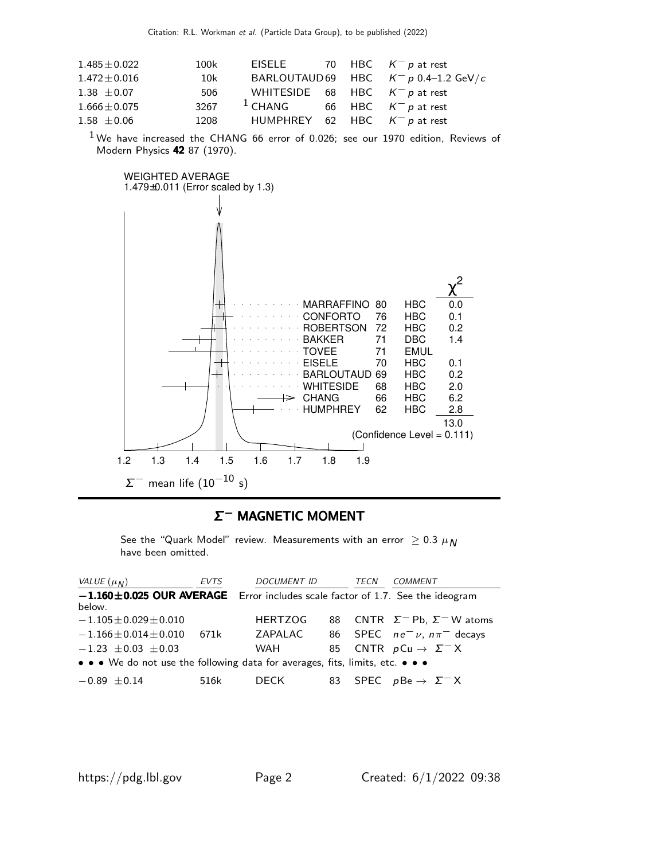| 100k |  |                                                                                                                                                                                             |
|------|--|---------------------------------------------------------------------------------------------------------------------------------------------------------------------------------------------|
| 10k  |  |                                                                                                                                                                                             |
| 506  |  |                                                                                                                                                                                             |
| 3267 |  |                                                                                                                                                                                             |
| 1208 |  |                                                                                                                                                                                             |
|      |  | EISELE 70 HBC $K^- p$ at rest<br>BARLOUTAUD69 HBC $K^- p$ 0.4-1.2 GeV/c<br>WHITESIDE 68 HBC $K^- p$ at rest<br><sup>1</sup> CHANG 66 HBC $K^- p$ at rest<br>HUMPHREY 62 HBC $K^- p$ at rest |

 $1$ We have increased the CHANG 66 error of 0.026; see our 1970 edition, Reviews of Modern Physics 42 87 (1970).



### Σ <sup>−</sup> MAGNETIC MOMENT <sup>−</sup>

See the "Quark Model" review. Measurements with an error  $\geq 0.3 \mu_N$ have been omitted.

| VALUE $(\mu_N)$                                                                     | <b>EVTS</b> | <b>DOCUMENT ID</b> |    | TECN | COMMENT                                   |
|-------------------------------------------------------------------------------------|-------------|--------------------|----|------|-------------------------------------------|
| $-1.160 \pm 0.025$ OUR AVERAGE Error includes scale factor of 1.7. See the ideogram |             |                    |    |      |                                           |
| below.                                                                              |             |                    |    |      |                                           |
| $-1.105 \pm 0.029 \pm 0.010$                                                        |             | <b>HERTZOG</b>     |    |      | 88 CNTR $\Sigma^-$ Pb, $\Sigma^-$ W atoms |
| $-1.166 \pm 0.014 \pm 0.010$                                                        | 671k        | ZAPALAC            |    |      | 86 SPEC $ne^ \nu$ , $n\pi^-$ decays       |
| $-1.23 \pm 0.03 \pm 0.03$                                                           |             | WAH                | 85 |      | CNTR $pCu \rightarrow \Sigma^- X$         |
| • • • We do not use the following data for averages, fits, limits, etc. • • •       |             |                    |    |      |                                           |
| $-0.89 \pm 0.14$                                                                    | 516k        | DECK.              |    |      | 83 SPEC $p \to \Sigma^- X$                |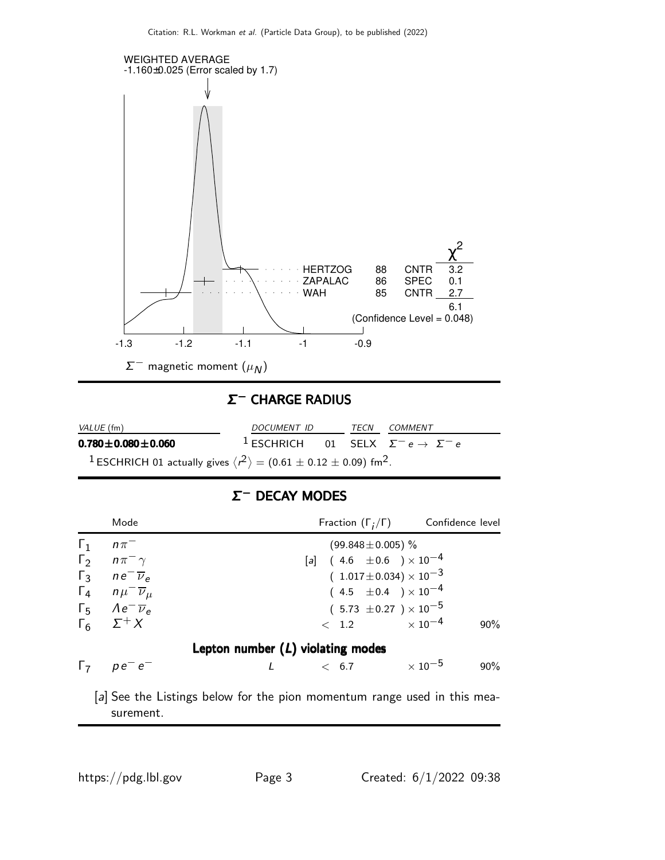

### Σ <sup>−</sup> CHARGE RADIUS <sup>−</sup>

| <i>VALUE</i> (fm)                                                                                              | DOCUMENT ID |  | TECN | COMMENT                                                           |
|----------------------------------------------------------------------------------------------------------------|-------------|--|------|-------------------------------------------------------------------|
| $0.780 \pm 0.080 \pm 0.060$                                                                                    |             |  |      | <sup>1</sup> ESCHRICH 01 SELX $\Sigma^- e \rightarrow \Sigma^- e$ |
| <sup>1</sup> ESCHRICH 01 actually gives $\langle r^2 \rangle$ = (0.61 $\pm$ 0.12 $\pm$ 0.09) fm <sup>2</sup> . |             |  |      |                                                                   |

### Σ <sup>−</sup> DECAY MODES <sup>−</sup>

|                          | Mode                                                                   | Fraction $(\Gamma_i/\Gamma)$ Confidence level                        |        |  |  |  |  |  |  |  |
|--------------------------|------------------------------------------------------------------------|----------------------------------------------------------------------|--------|--|--|--|--|--|--|--|
| $\Gamma_1$<br>$\Gamma_2$ | $n\pi^-$<br>$n\pi^{-}\gamma$                                           | $(99.848 \pm 0.005)$ %<br>[a] $(4.6 \pm 0.6) \times 10^{-4}$         |        |  |  |  |  |  |  |  |
| $\Gamma_3$               | $ne^{-}\overline{\nu}_{\rho}$<br>$\Gamma_4$ $n\mu^-\overline{\nu}_\mu$ | $(1.017 \pm 0.034) \times 10^{-3}$<br>$(4.5 \pm 0.4) \times 10^{-4}$ |        |  |  |  |  |  |  |  |
|                          | $\Gamma_5$ $Ae^- \overline{\nu}_e$<br>$\Gamma_6$ $\Sigma^+ X$          | $(5.73 \pm 0.27) \times 10^{-5}$<br>$< 1.2 \times 10^{-4}$           | $90\%$ |  |  |  |  |  |  |  |
|                          | Lepton number $(L)$ violating modes                                    |                                                                      |        |  |  |  |  |  |  |  |
|                          | $\Gamma_7$ $pe^-e^-$                                                   | $\times$ 10 $^{-5}$<br>< 6.7                                         | $90\%$ |  |  |  |  |  |  |  |
|                          |                                                                        |                                                                      |        |  |  |  |  |  |  |  |

[a] See the Listings below for the pion momentum range used in this measurement.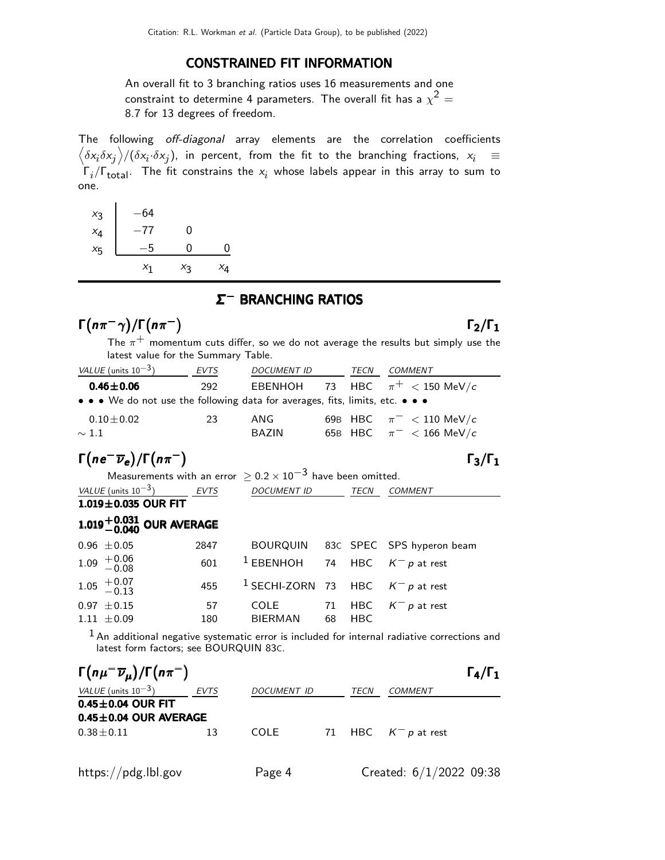#### CONSTRAINED FIT INFORMATION

An overall fit to 3 branching ratios uses 16 measurements and one constraint to determine 4 parameters. The overall fit has a  $\chi^2 =$ 8.7 for 13 degrees of freedom.

The following off-diagonal array elements are the correlation coefficients  $\left<\delta x_i\delta x_j\right>$ / $(\delta x_i\cdot\delta x_j)$ , in percent, from the fit to the branching fractions,  $x_i$   $\;\equiv$  $\Gamma_i/\Gamma_{\rm total}$ . The fit constrains the  $x_i$  whose labels appear in this array to sum to one.

| $x_3$   | -64   |       |    |
|---------|-------|-------|----|
| $x_4$   | $-77$ | N     |    |
| $x_{5}$ | -5    | O     | ი  |
|         | $x_1$ | $x_3$ | X4 |

### Σ <sup>−</sup> BRANCHING RATIOS <sup>−</sup>

## $\Gamma(n\pi^-\gamma)/\Gamma(n\pi^-)$   $\Gamma_2/\Gamma_1$

 $\Gamma_3/\Gamma_1$ 

 $\frac{1-\gamma}{\Gamma(n\pi^-)}$  **F**<sub>2</sub>/**F**<sub>1</sub><br>The  $\pi^+$  momentum cuts differ, so we do not average the results but simply use the latest value for the Summary Table.

| VALUE (units $10^{-3}$ )                                                      | EVTS | <b>DOCUMENT ID</b> | TECN | <b>COMMENT</b>                     |
|-------------------------------------------------------------------------------|------|--------------------|------|------------------------------------|
| $0.46 \pm 0.06$                                                               | 292  |                    |      | EBENHOH 73 HBC $\pi^+$ < 150 MeV/c |
| • • • We do not use the following data for averages, fits, limits, etc. • • • |      |                    |      |                                    |
| $0.10\!\pm\!0.02$                                                             | 23   | ANG                |      | 69B HBC $\pi^-$ < 110 MeV/c        |
| $\sim 1.1$                                                                    |      | <b>BAZIN</b>       |      | 65B HBC $\pi^{-}$ < 166 MeV/c      |

## $\Gamma(ne^-\overline{\nu}_e)/\Gamma(n\pi^-)$  Γ<sub>3</sub>/Γ<sub>1</sub>

Measurements with an error  $\geq 0.2 \times 10^{-3}$  have been omitted. DOCUMENT ID TECN COMMENT

 $\frac{VALUE \text{(units 10}^{-3})}{1.019 \pm 0.035 \text{ OUR FIT}}$ 

# $1.019^{+0.031}_{-0.040}$  OUR AVERAGE

| $0.96 \pm 0.05$                                    | 2847 |                                                    |        | BOURQUIN 83C SPEC SPS hyperon beam |
|----------------------------------------------------|------|----------------------------------------------------|--------|------------------------------------|
| $1.09 + 0.06$<br>-0.08                             |      | 601 <sup>1</sup> EBENHOH 74 HBC $K^- p$ at rest    |        |                                    |
| $1.05 \begin{array}{c} +0.07 \\ -0.13 \end{array}$ |      | 455 <sup>1</sup> SECHI-ZORN 73 HBC $K^- p$ at rest |        |                                    |
| $0.97 \pm 0.15$                                    | 57   | COLE 71 HBC $K^- p$ at rest                        |        |                                    |
| $1.11 \pm 0.09$                                    | 180  | BIERMAN                                            | 68 HBC |                                    |

 $<sup>1</sup>$  An additional negative systematic error is included for internal radiative corrections and</sup> latest form factors; see BOURQUIN 83C.

| $\Gamma(n\mu^-\overline{\nu}_\mu)/\Gamma(n\pi^-)$ |      |             |      |                        | $\Gamma_4/\Gamma_1$ |
|---------------------------------------------------|------|-------------|------|------------------------|---------------------|
| VALUE (units $10^{-3}$ )                          | EVTS | DOCUMENT ID | TECN | COMMENT                |                     |
| $0.45 \pm 0.04$ OUR FIT                           |      |             |      |                        |                     |
| $0.45 \pm 0.04$ OUR AVERAGE                       |      |             |      |                        |                     |
| $0.38 \pm 0.11$                                   | 13   | <b>COLE</b> |      | 71 HBC $K^- p$ at rest |                     |
|                                                   |      |             |      |                        |                     |
|                                                   |      |             |      |                        |                     |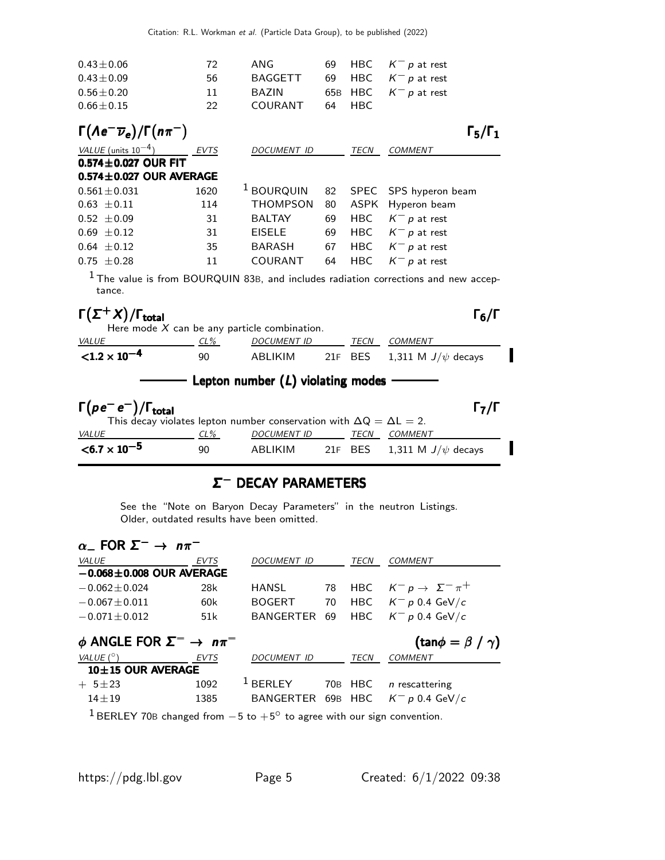| $0.43 \pm 0.06$                                                                                           | 72             | <b>ANG</b>                          | 69  | HBC         | $K^- p$ at rest                                                                                |
|-----------------------------------------------------------------------------------------------------------|----------------|-------------------------------------|-----|-------------|------------------------------------------------------------------------------------------------|
| $0.43 \pm 0.09$                                                                                           | 56             | <b>BAGGETT</b>                      | 69  | <b>HBC</b>  | $K^- p$ at rest                                                                                |
| $0.56 \pm 0.20$                                                                                           | 11             | <b>BAZIN</b>                        | 65B | <b>HBC</b>  | $K^- p$ at rest                                                                                |
| $0.66 \pm 0.15$                                                                                           | 22             | COURANT                             | 64  | <b>HBC</b>  |                                                                                                |
| $\Gamma(\Lambda e^-\overline{\nu}_e)/\Gamma(n\pi^-)$                                                      |                |                                     |     |             | $\Gamma_5/\Gamma_1$                                                                            |
| VALUE (units $10^{-4}$ )                                                                                  | EVTS           | DOCUMENT ID                         |     | <b>TECN</b> | <b>COMMENT</b>                                                                                 |
| $0.574 \pm 0.027$ OUR FIT                                                                                 |                |                                     |     |             |                                                                                                |
| $0.574 \pm 0.027$ OUR AVERAGE                                                                             |                |                                     |     |             |                                                                                                |
| $0.561 \pm 0.031$                                                                                         | 1620           | $1$ BOURQUIN                        | 82  | <b>SPEC</b> | SPS hyperon beam                                                                               |
| $0.63 \pm 0.11$                                                                                           | 114            | <b>THOMPSON</b>                     | 80  | ASPK        | Hyperon beam                                                                                   |
| $0.52 \pm 0.09$                                                                                           | 31             | <b>BALTAY</b>                       | 69  |             | HBC $K^- p$ at rest                                                                            |
| $0.69 \pm 0.12$                                                                                           | 31             | <b>EISELE</b>                       | 69  |             | HBC $K^- p$ at rest                                                                            |
| $0.64 \pm 0.12$                                                                                           | 35             | BARASH                              | 67  |             | HBC $K^- p$ at rest                                                                            |
| $0.75 \pm 0.28$                                                                                           | 11             | COURANT                             | 64  | <b>HBC</b>  | $K^- p$ at rest                                                                                |
| tance.                                                                                                    |                |                                     |     |             | <sup>1</sup> The value is from BOURQUIN 83B, and includes radiation corrections and new accep- |
| $\Gamma(\Sigma^+ X)/\Gamma_{\text{total}}$                                                                |                |                                     |     |             | Г $_6/\Gamma$                                                                                  |
| Here mode $X$ can be any particle combination.                                                            |                |                                     |     |             |                                                                                                |
| <b>VALUE</b>                                                                                              | <u>_ CL% _</u> | <b>DOCUMENT ID</b>                  |     |             | TECN COMMENT                                                                                   |
| $< 1.2 \times 10^{-4}$                                                                                    | 90             | <b>ABLIKIM</b>                      |     | 21F BES     | 1,311 M $J/\psi$ decays                                                                        |
|                                                                                                           |                | Lepton number $(L)$ violating modes |     |             |                                                                                                |
| $\Gamma(\rho e^- e^-)/\Gamma_{\rm total}$                                                                 |                |                                     |     |             | Г $_{\rm 7}/$ Г                                                                                |
| This decay violates lepton number conservation with $\Delta Q = \Delta L = 2$ .<br><b>VALUE</b><br>$CL\%$ |                | <b>DOCUMENT ID</b>                  |     | <b>TECN</b> | <b>COMMENT</b>                                                                                 |
|                                                                                                           |                |                                     |     |             |                                                                                                |

### Σ <sup>−</sup> DECAY PARAMETERS <sup>−</sup>

90 ABLIKIM 21F BES 1,311 M  $J/\psi$  decays

See the "Note on Baryon Decay Parameters" in the neutron Listings. Older, outdated results have been omitted.

| $\alpha$ FOR $\Sigma^- \rightarrow n\pi^-$     |             |                     |    |             |                                        |
|------------------------------------------------|-------------|---------------------|----|-------------|----------------------------------------|
| VALUE                                          | EVTS        | <b>DOCUMENT ID</b>  |    | <b>TECN</b> | COMMENT                                |
| $-0.068 \pm 0.008$ OUR AVERAGE                 |             |                     |    |             |                                        |
| $-0.062 \pm 0.024$                             | 28k         | HANSL               | 78 |             | HBC $K^- p \rightarrow \Sigma^- \pi^+$ |
| $-0.067 \pm 0.011$                             | 60k         | <b>BOGERT</b>       | 70 | HBC         | $\mathcal{K}^-\,$ p 0.4 GeV/c          |
| $-0.071 \pm 0.012$                             | 51k         | BANGERTER 69        |    | HBC         | $K^- p$ 0.4 GeV/c                      |
| $\phi$ ANGLE FOR $\Sigma^- \rightarrow n\pi^-$ |             |                     |    |             | (tan $\phi = \beta / \gamma$ )         |
| VALUE (°)                                      | <b>EVTS</b> | <b>DOCUMENT ID</b>  |    | <b>TECN</b> | <b>COMMENT</b>                         |
| 10±15 OUR AVERAGE                              |             |                     |    |             |                                        |
| $+ 5 \pm 23$                                   | 1092        | <sup>1</sup> BERLEY |    | 70B HBC     | $n$ rescattering                       |
| $14 \pm 19$                                    | 1385        | BANGERTER 69B HBC   |    |             | $K^- p 0.4$ GeV/c                      |
| 1.                                             |             |                     |    |             |                                        |

<sup>1</sup> BERLEY 70B changed from  $-5$  to  $+5^\circ$  to agree with our sign convention.

 $<$ 6.7  $\times$  10<sup>-5</sup>

 $\blacksquare$ 

I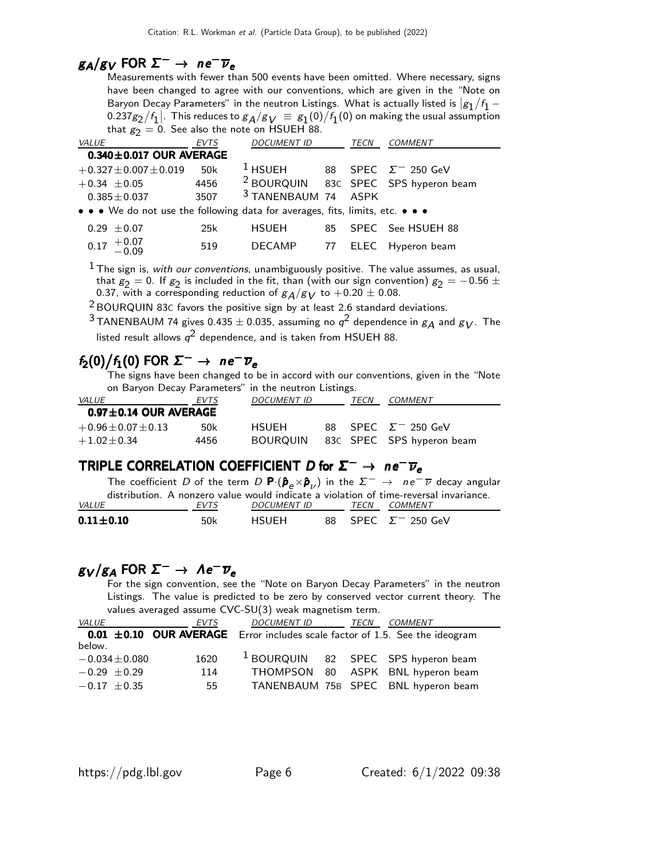## $g_A/g_V$  FOR  $\Sigma^- \rightarrow$  ne<sup>-</sup> $\overline{\nu}_e$

Measurements with fewer than 500 events have been omitted. Where necessary, signs have been changed to agree with our conventions, which are given in the "Note on Baryon Decay Parameters" in the neutron Listings. What is actually listed is  $|g_1/f_1 0.237g_2/f_1$  . This reduces to  $g_A/g_V \equiv g_1(0)/f_1(0)$  on making the usual assumption that  $g_2 = 0$ . See also the note on HSUEH 88.

| VALUE                                                                         | <b>EVTS</b> | <b>DOCUMENT ID</b>        |     | TECN | <b>COMMENT</b>                                  |
|-------------------------------------------------------------------------------|-------------|---------------------------|-----|------|-------------------------------------------------|
| $0.340 \pm 0.017$ OUR AVERAGE                                                 |             |                           |     |      |                                                 |
| $+0.327 \pm 0.007 \pm 0.019$                                                  | 50k         | $1$ HSUEH                 |     |      | 88 SPEC $\Sigma^-$ 250 GeV                      |
| $+0.34 \pm 0.05$                                                              | 4456        |                           |     |      | <sup>2</sup> BOURQUIN 83C SPEC SPS hyperon beam |
| $0.385 \pm 0.037$                                                             | 3507        | <sup>3</sup> TANENBAUM 74 |     | ASPK |                                                 |
| • • • We do not use the following data for averages, fits, limits, etc. • • • |             |                           |     |      |                                                 |
| $0.29 \pm 0.07$                                                               | 25k         | <b>HSUEH</b>              | 85. |      | SPEC See HSUEH 88                               |
| $0.17 \begin{array}{c} +0.07 \\ -0.09 \end{array}$                            | 519         | <b>DECAMP</b>             | 77  |      | ELEC Hyperon beam                               |

 $1$  The sign is, with our conventions, unambiguously positive. The value assumes, as usual, that  $g_2 = 0$ . If  $g_2$  is included in the fit, than (with our sign convention)  $g_2 = -0.56 \pm 0.000$ 0.37, with a corresponding reduction of  $g_A/g_V$  to  $+$  0.20  $\pm$  0.08.

 $2$  BOURQUIN 83C favors the positive sign by at least 2.6 standard deviations.

 $^3$ TANENBAUM 74 gives 0.435  $\pm$  0.035, assuming no  $q^2$  dependence in  $g_A$  and  $g_V$ . The listed result allows  $q^2$  dependence, and is taken from <code>HSUEH</code> 88.

## $f_2(0)/f_1(0)$  FOR  $\Sigma^-\to\ n e^-\overline{\nu}_e$

The signs have been changed to be in accord with our conventions, given in the "Note on Baryon Decay Parameters" in the neutron Listings.

| VALUE                       | EVTS | <b>DOCUMENT ID</b> | TECN | <i>COMMENT</i>            |
|-----------------------------|------|--------------------|------|---------------------------|
| $0.97 \pm 0.14$ OUR AVERAGE |      |                    |      |                           |
| $+0.96 \pm 0.07 \pm 0.13$   | 50k  | <b>HSUEH</b>       |      | 88 SPEC $\Sigma$ 250 GeV  |
| $+1.02 \pm 0.34$            | 4456 | <b>BOURQUIN</b>    |      | 83C SPEC SPS hyperon beam |

## TRIPLE CORRELATION COEFFICIENT  $D$  for  $\Sigma^- \rightarrow n e^- \overline{\nu}_e$

The coefficient D of the term D P·(ˆpe×pˆν ) in the Σ− → n e− ν decay angular distribution. A nonzero value would indicate a violation of time-reversal invariance.<br>EVTS DOCUMENT ID TECN COMMENT VALUE EVTS DOCUMENT ID TECN COMMENT **0.11±0.10** 50k HSUEH 88 SPEC Σ<sup>-</sup> 250 GeV

## $g_V/g_A$  FOR  $\Sigma^- \to \Lambda e^- \overline{\nu}_e$

For the sign convention, see the "Note on Baryon Decay Parameters" in the neutron Listings. The value is predicted to be zero by conserved vector current theory. The values averaged assume CVC-SU(3) weak magnetism term.

| <i>VALUE</i>       | EVTS | DOCUMENT ID TECN |  | COMMENT                                                                          |
|--------------------|------|------------------|--|----------------------------------------------------------------------------------|
|                    |      |                  |  | 0.01 $\pm$ 0.10 OUR AVERAGE Error includes scale factor of 1.5. See the ideogram |
| below.             |      |                  |  |                                                                                  |
| $-0.034 \pm 0.080$ | 1620 |                  |  | <sup>1</sup> BOURQUIN 82 SPEC SPS hyperon beam                                   |
| $-0.29 \pm 0.29$   | 114  |                  |  | THOMPSON 80 ASPK BNL hyperon beam                                                |
| $-0.17 \pm 0.35$   | 55   |                  |  | TANENBAUM 75B SPEC BNL hyperon beam                                              |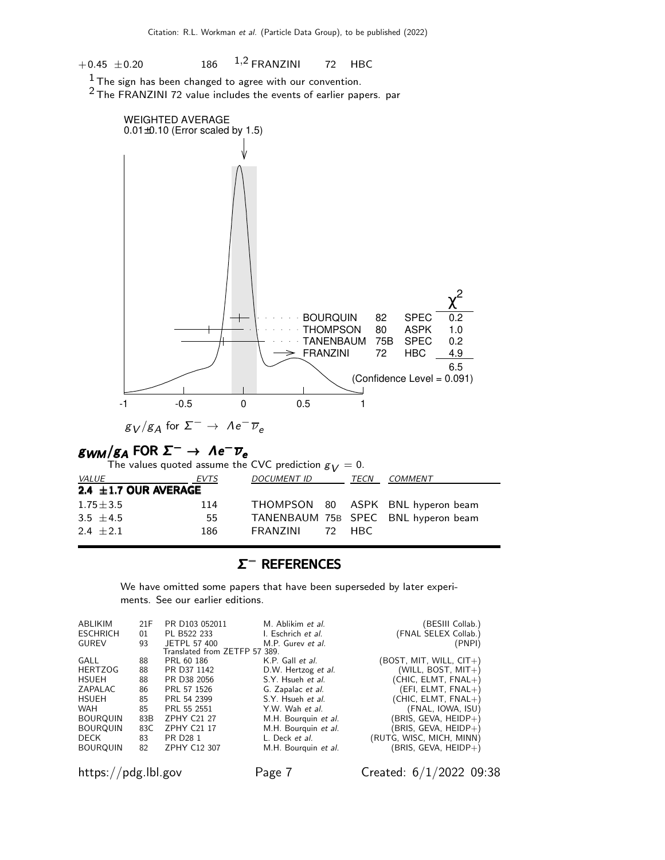$+0.45 \pm 0.20$  186 <sup>1</sup>,<sup>2</sup> FRANZINI 72 HBC

 $1$  The sign has been changed to agree with our convention.

2 The FRANZINI 72 value includes the events of earlier papers. par



## $\mathcal{B} \mathcal{W} \mathcal{M} / \mathcal{B} A$  FOR  $\mathcal{\Sigma}^- \to \mathcal{A} e^- \overline{\nu}_e$

| The values quoted assume the CVC prediction $g_V = 0$ . |      |                    |  |      |                                     |  |
|---------------------------------------------------------|------|--------------------|--|------|-------------------------------------|--|
| <i>VALUE</i>                                            | EVTS | <i>DOCUMENT ID</i> |  | TECN | COMMENT                             |  |
| 2.4 $\pm$ 1.7 OUR AVERAGE                               |      |                    |  |      |                                     |  |
| $1.75 \pm 3.5$                                          | 114  |                    |  |      | THOMPSON 80 ASPK BNL hyperon beam   |  |
| 3.5 $\pm$ 4.5                                           | 55   |                    |  |      | TANENBAUM 75B SPEC BNL hyperon beam |  |
| $2.4 + 2.1$                                             | 186  | FRANZINI 72 HRC    |  |      |                                     |  |

### Σ <sup>−</sup> REFERENCES <sup>−</sup>

We have omitted some papers that have been superseded by later experiments. See our earlier editions.

| ABLIKIM         | 21F | PR D103 052011                | M. Ablikim et al.    | (BESIII Collab.)          |
|-----------------|-----|-------------------------------|----------------------|---------------------------|
| <b>ESCHRICH</b> | 01  | PL B522 233                   | I. Eschrich et al.   | (FNAL SELEX Collab.)      |
| <b>GUREV</b>    | 93  | JETPL 57 400                  | M.P. Gurey et al.    | (PNPI)                    |
|                 |     | Translated from ZETFP 57 389. |                      |                           |
| GALL            | 88  | PRL 60 186                    | K.P. Gall et al.     | $(BOST, MIT, WILL, CIT+)$ |
| <b>HERTZOG</b>  | 88  | PR D37 1142                   | D.W. Hertzog et al.  | (WILL, BOST, $MIT+$ )     |
| <b>HSUEH</b>    | 88  | PR D38 2056                   | S.Y. Hsueh et al.    | $(CHIC, ELMT, FNAL+)$     |
| ZAPALAC         | 86  | PRL 57 1526                   | G. Zapalac et al.    | $(EFI, ELMT, FNAL+)$      |
| <b>HSUEH</b>    | 85  | PRL 54 2399                   | S.Y. Hsueh et al.    | $(CHIC, ELMT, FNAL+)$     |
| <b>WAH</b>      | 85  | PRL 55 2551                   | Y.W. Wah et al.      | (FNAL, IOWA, ISU)         |
| <b>BOURQUIN</b> | 83B | <b>ZPHY C21 27</b>            | M.H. Bourguin et al. | (BRIS, GEVA, HEIDP+)      |
| <b>BOURQUIN</b> | 83C | <b>ZPHY C21 17</b>            | M.H. Bourguin et al. | BRIS, GEVA, HEIDP+)       |
| DECK            | 83  | PR D <sub>28</sub> 1          | L. Deck et al.       | (RUTG, WISC, MICH, MINN)  |
| <b>BOURQUIN</b> | 82  | ZPHY C12 307                  | M.H. Bourguin et al. | (BRIS, GEVA, HEIDP+)      |
|                 |     |                               |                      |                           |

https://pdg.lbl.gov Page 7 Created: 6/1/2022 09:38